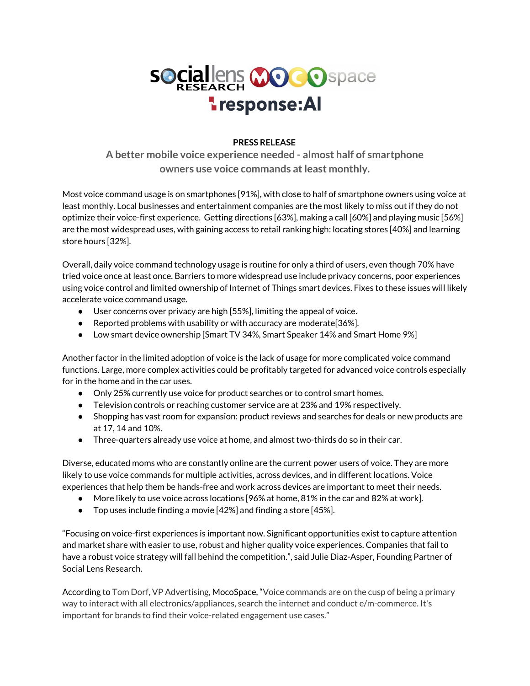

## **PRESS RELEASE**

**A better mobile voice experience needed - almost half of smartphone owners use voice commands atleast monthly.**

Most voice command usage is on smartphones [91%], with close to half of smartphone owners using voice at least monthly. Local businesses and entertainment companies are the most likely to miss out if they do not optimize their voice-first experience. Getting directions [63%], making a call [60%] and playing music [56%] are the most widespread uses, with gaining access to retail ranking high: locating stores [40%] and learning store hours [32%].

Overall, daily voice command technology usage is routine for only a third of users, even though 70% have tried voice once at least once. Barriers to more widespread use include privacy concerns, poor experiences using voice control and limited ownership of Internet of Things smart devices. Fixes to these issues will likely accelerate voice command usage.

- User concerns over privacy are high [55%], limiting the appeal of voice.
- Reported problems with usability or with accuracy are moderate[36%].
- Low smart device ownership [Smart TV 34%, Smart Speaker 14% and Smart Home 9%]

Another factor in the limited adoption of voice is the lack of usage for more complicated voice command functions. Large, more complex activities could be profitably targeted for advanced voice controls especially for in the home and in the car uses.

- Only 25% currently use voice for product searches or to control smart homes.
- Television controls or reaching customer service are at 23% and 19% respectively.
- Shopping has vast room for expansion: product reviews and searches for deals or new products are at 17, 14 and 10%.
- Three-quarters already use voice at home, and almost two-thirds do so in their car.

Diverse, educated moms who are constantly online are the current power users of voice. They are more likely to use voice commands for multiple activities, across devices, and in different locations. Voice experiences that help them be hands-free and work across devices are important to meet their needs.

- More likely to use voice across locations [96% at home, 81% in the car and 82% at work].
- Top uses include finding a movie [42%] and finding a store [45%].

"Focusing on voice-first experiences is important now. Significant opportunities exist to capture attention and market share with easier to use, robust and higher quality voice experiences. Companies that fail to have a robust voice strategy will fall behind the competition.", said Julie Diaz-Asper, Founding Partner of Social Lens Research.

According to Tom Dorf, VP Advertising, MocoSpace, "Voice commands are on the cusp of being a primary way to interact with all electronics/appliances, search the internet and conduct e/m-commerce. It's important for brands to find their voice-related engagement use cases."